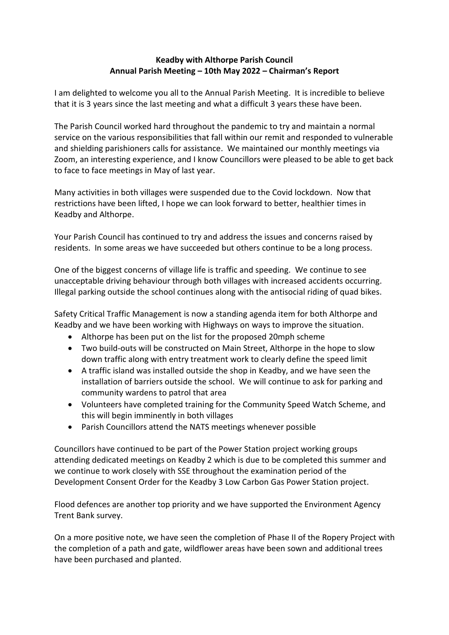## **Keadby with Althorpe Parish Council Annual Parish Meeting – 10th May 2022 – Chairman's Report**

I am delighted to welcome you all to the Annual Parish Meeting. It is incredible to believe that it is 3 years since the last meeting and what a difficult 3 years these have been.

The Parish Council worked hard throughout the pandemic to try and maintain a normal service on the various responsibilities that fall within our remit and responded to vulnerable and shielding parishioners calls for assistance. We maintained our monthly meetings via Zoom, an interesting experience, and I know Councillors were pleased to be able to get back to face to face meetings in May of last year.

Many activities in both villages were suspended due to the Covid lockdown. Now that restrictions have been lifted, I hope we can look forward to better, healthier times in Keadby and Althorpe.

Your Parish Council has continued to try and address the issues and concerns raised by residents. In some areas we have succeeded but others continue to be a long process.

One of the biggest concerns of village life is traffic and speeding. We continue to see unacceptable driving behaviour through both villages with increased accidents occurring. Illegal parking outside the school continues along with the antisocial riding of quad bikes.

Safety Critical Traffic Management is now a standing agenda item for both Althorpe and Keadby and we have been working with Highways on ways to improve the situation.

- Althorpe has been put on the list for the proposed 20mph scheme
- Two build-outs will be constructed on Main Street, Althorpe in the hope to slow down traffic along with entry treatment work to clearly define the speed limit
- A traffic island was installed outside the shop in Keadby, and we have seen the installation of barriers outside the school. We will continue to ask for parking and community wardens to patrol that area
- Volunteers have completed training for the Community Speed Watch Scheme, and this will begin imminently in both villages
- Parish Councillors attend the NATS meetings whenever possible

Councillors have continued to be part of the Power Station project working groups attending dedicated meetings on Keadby 2 which is due to be completed this summer and we continue to work closely with SSE throughout the examination period of the Development Consent Order for the Keadby 3 Low Carbon Gas Power Station project.

Flood defences are another top priority and we have supported the Environment Agency Trent Bank survey.

On a more positive note, we have seen the completion of Phase II of the Ropery Project with the completion of a path and gate, wildflower areas have been sown and additional trees have been purchased and planted.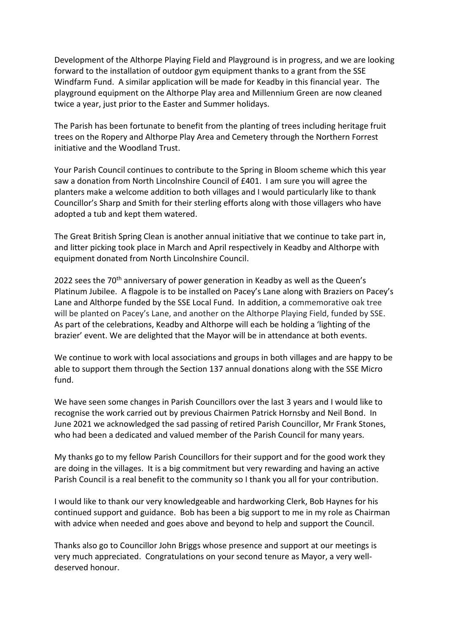Development of the Althorpe Playing Field and Playground is in progress, and we are looking forward to the installation of outdoor gym equipment thanks to a grant from the SSE Windfarm Fund. A similar application will be made for Keadby in this financial year. The playground equipment on the Althorpe Play area and Millennium Green are now cleaned twice a year, just prior to the Easter and Summer holidays.

The Parish has been fortunate to benefit from the planting of trees including heritage fruit trees on the Ropery and Althorpe Play Area and Cemetery through the Northern Forrest initiative and the Woodland Trust.

Your Parish Council continues to contribute to the Spring in Bloom scheme which this year saw a donation from North Lincolnshire Council of £401. I am sure you will agree the planters make a welcome addition to both villages and I would particularly like to thank Councillor's Sharp and Smith for their sterling efforts along with those villagers who have adopted a tub and kept them watered.

The Great British Spring Clean is another annual initiative that we continue to take part in, and litter picking took place in March and April respectively in Keadby and Althorpe with equipment donated from North Lincolnshire Council.

2022 sees the 70<sup>th</sup> anniversary of power generation in Keadby as well as the Queen's Platinum Jubilee. A flagpole is to be installed on Pacey's Lane along with Braziers on Pacey's Lane and Althorpe funded by the SSE Local Fund. In addition, a commemorative oak tree will be planted on Pacey's Lane, and another on the Althorpe Playing Field, funded by SSE. As part of the celebrations, Keadby and Althorpe will each be holding a 'lighting of the brazier' event. We are delighted that the Mayor will be in attendance at both events.

We continue to work with local associations and groups in both villages and are happy to be able to support them through the Section 137 annual donations along with the SSE Micro fund.

We have seen some changes in Parish Councillors over the last 3 years and I would like to recognise the work carried out by previous Chairmen Patrick Hornsby and Neil Bond. In June 2021 we acknowledged the sad passing of retired Parish Councillor, Mr Frank Stones, who had been a dedicated and valued member of the Parish Council for many years.

My thanks go to my fellow Parish Councillors for their support and for the good work they are doing in the villages. It is a big commitment but very rewarding and having an active Parish Council is a real benefit to the community so I thank you all for your contribution.

I would like to thank our very knowledgeable and hardworking Clerk, Bob Haynes for his continued support and guidance. Bob has been a big support to me in my role as Chairman with advice when needed and goes above and beyond to help and support the Council.

Thanks also go to Councillor John Briggs whose presence and support at our meetings is very much appreciated. Congratulations on your second tenure as Mayor, a very welldeserved honour.